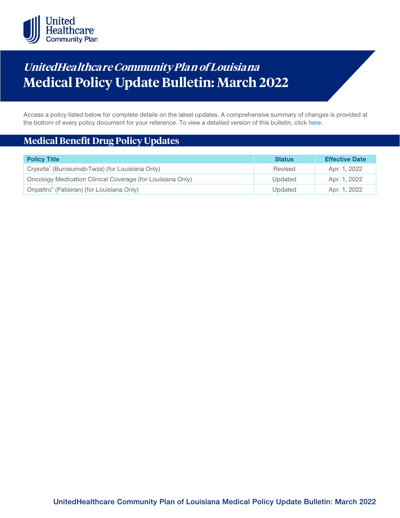

# **UnitedHealthca re Community Plan of Louisiana Medical Policy Update Bulletin: March 2022**

Access a policy listed below for complete details on the latest updates. A comprehensive summary of changes is provided at the bottom of every policy document for your reference. To view a detailed version of this bulletin, clic[k here.](https://www.uhcprovider.com/content/dam/provider/docs/public/policies/mpub-archives/comm-plan/la/community-plan-la-medical-policy-update-bulletin-march-2022-full.pdf)

# **Medical Benefit Drug Policy Updates**

| <b>Policy Title</b>                                        | <b>Status</b> | <b>Effective Date</b> |
|------------------------------------------------------------|---------------|-----------------------|
| Crysvita® (Burosumab-Twza) (for Louisiana Only)            | Revised       | Apr. 1, 2022          |
| Oncology Medication Clinical Coverage (for Louisiana Only) | Updated       | Apr. 1, 2022          |
| Onpattro <sup>®</sup> (Patisiran) (for Louisiana Only)     | Updated       | Apr. 1, 2022          |